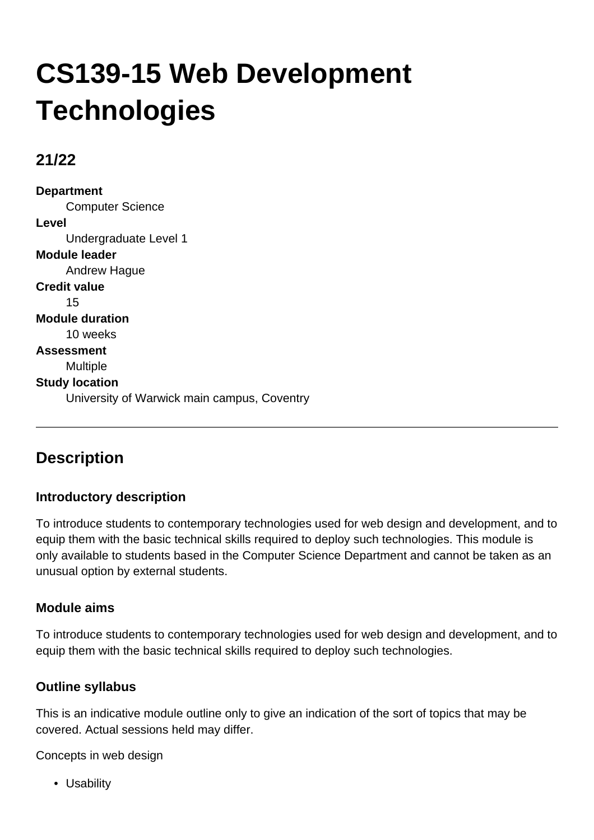# **CS139-15 Web Development Technologies**

## **21/22**

**Department** Computer Science **Level** Undergraduate Level 1 **Module leader** Andrew Hague **Credit value** 15 **Module duration** 10 weeks **Assessment** Multiple **Study location** University of Warwick main campus, Coventry

# **Description**

## **Introductory description**

To introduce students to contemporary technologies used for web design and development, and to equip them with the basic technical skills required to deploy such technologies. This module is only available to students based in the Computer Science Department and cannot be taken as an unusual option by external students.

## **Module aims**

To introduce students to contemporary technologies used for web design and development, and to equip them with the basic technical skills required to deploy such technologies.

## **Outline syllabus**

This is an indicative module outline only to give an indication of the sort of topics that may be covered. Actual sessions held may differ.

Concepts in web design

• Usability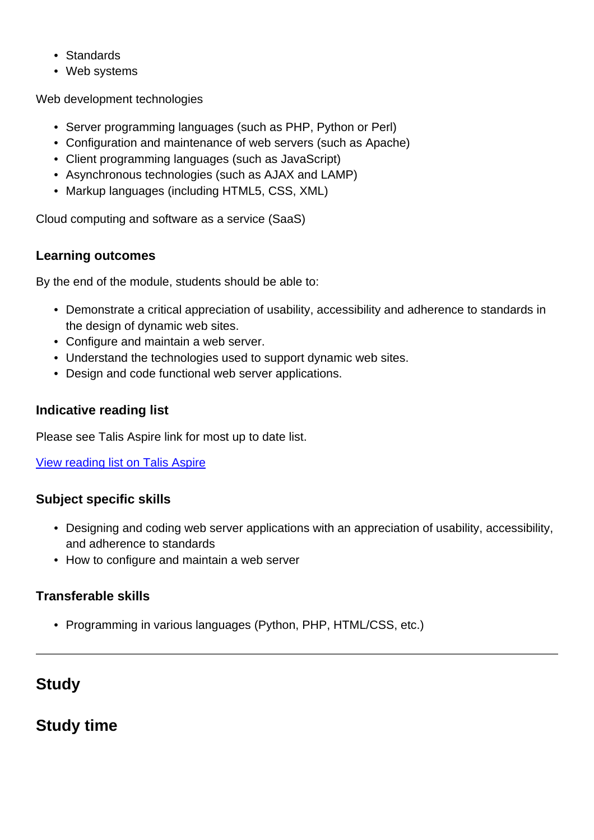- Standards
- Web systems

Web development technologies

- Server programming languages (such as PHP, Python or Perl)
- Configuration and maintenance of web servers (such as Apache)
- Client programming languages (such as JavaScript)
- Asynchronous technologies (such as AJAX and LAMP)
- Markup languages (including HTML5, CSS, XML)

Cloud computing and software as a service (SaaS)

#### **Learning outcomes**

By the end of the module, students should be able to:

- Demonstrate a critical appreciation of usability, accessibility and adherence to standards in the design of dynamic web sites.
- Configure and maintain a web server.
- Understand the technologies used to support dynamic web sites.
- Design and code functional web server applications.

#### **Indicative reading list**

Please see Talis Aspire link for most up to date list.

[View reading list on Talis Aspire](http://readinglists.warwick.ac.uk/modules/cs139.html)

## **Subject specific skills**

- Designing and coding web server applications with an appreciation of usability, accessibility, and adherence to standards
- How to configure and maintain a web server

## **Transferable skills**

• Programming in various languages (Python, PHP, HTML/CSS, etc.)

# **Study**

## **Study time**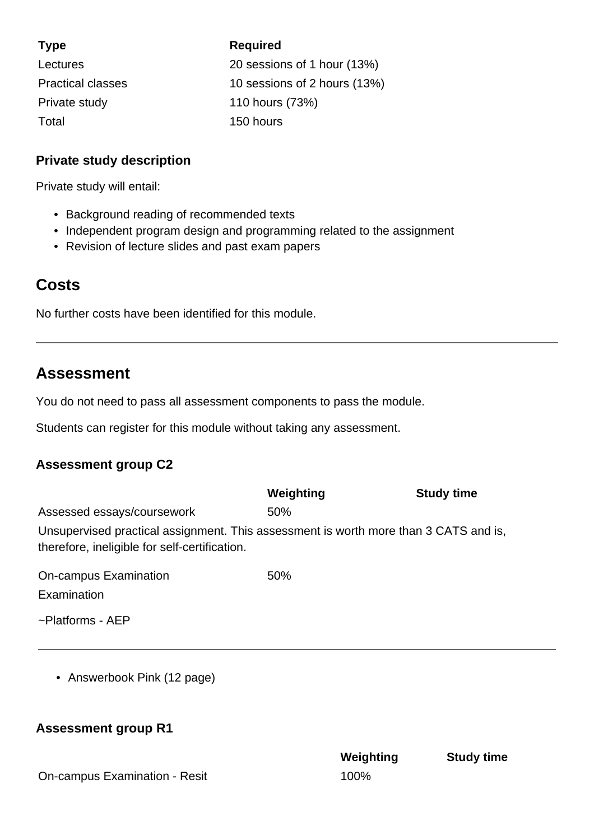| <b>Type</b>              | <b>Required</b>              |
|--------------------------|------------------------------|
| Lectures                 | 20 sessions of 1 hour (13%)  |
| <b>Practical classes</b> | 10 sessions of 2 hours (13%) |
| Private study            | 110 hours (73%)              |
| Total                    | 150 hours                    |

#### **Private study description**

Private study will entail:

- Background reading of recommended texts
- Independent program design and programming related to the assignment
- Revision of lecture slides and past exam papers

## **Costs**

No further costs have been identified for this module.

## **Assessment**

You do not need to pass all assessment components to pass the module.

Students can register for this module without taking any assessment.

## **Assessment group C2**

|                                                                                                                                       | Weighting | <b>Study time</b> |  |
|---------------------------------------------------------------------------------------------------------------------------------------|-----------|-------------------|--|
| Assessed essays/coursework                                                                                                            | 50%       |                   |  |
| Unsupervised practical assignment. This assessment is worth more than 3 CATS and is,<br>therefore, ineligible for self-certification. |           |                   |  |
| On-campus Examination                                                                                                                 | 50%       |                   |  |

Examination

~Platforms - AEP

• Answerbook Pink (12 page)

## **Assessment group R1**